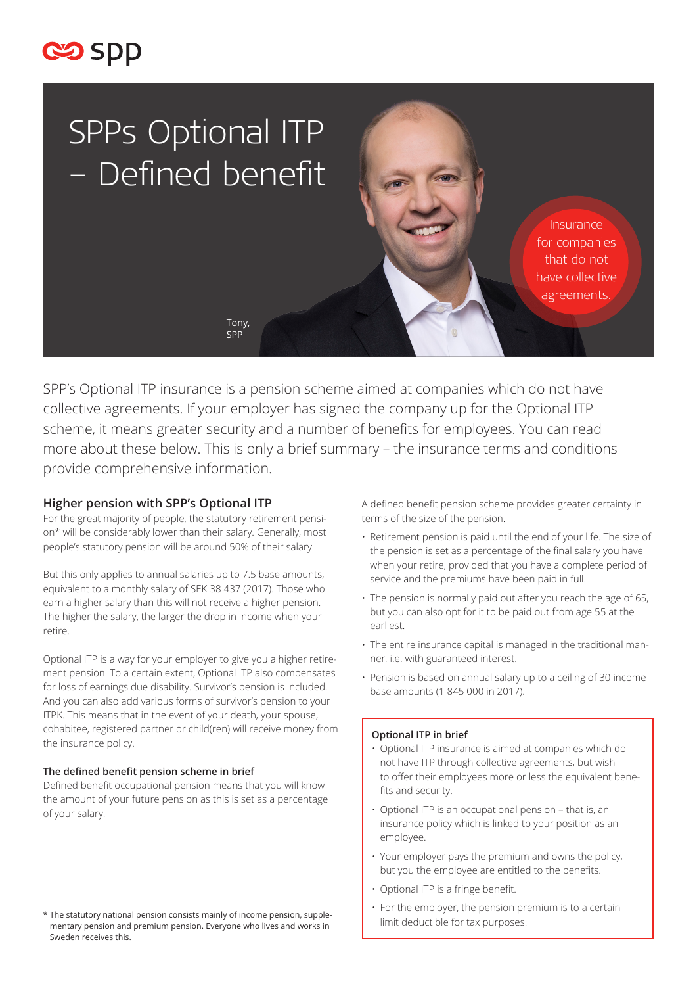



SPP's Optional ITP insurance is a pension scheme aimed at companies which do not have collective agreements. If your employer has signed the company up for the Optional ITP scheme, it means greater security and a number of benefits for employees. You can read more about these below. This is only a brief summary – the insurance terms and conditions provide comprehensive information.

## **Higher pension with SPP's Optional ITP**

For the great majority of people, the statutory retirement pension\* will be considerably lower than their salary. Generally, most people's statutory pension will be around 50% of their salary.

But this only applies to annual salaries up to 7.5 base amounts, equivalent to a monthly salary of SEK 38 437 (2017). Those who earn a higher salary than this will not receive a higher pension. The higher the salary, the larger the drop in income when your retire.

Optional ITP is a way for your employer to give you a higher retirement pension. To a certain extent, Optional ITP also compensates for loss of earnings due disability. Survivor's pension is included. And you can also add various forms of survivor's pension to your ITPK. This means that in the event of your death, your spouse, cohabitee, registered partner or child(ren) will receive money from the insurance policy.

#### **The defined benefit pension scheme in brief**

Defined benefit occupational pension means that you will know the amount of your future pension as this is set as a percentage of your salary.

\* The statutory national pension consists mainly of income pension, supplementary pension and premium pension. Everyone who lives and works in Sweden receives this.

A defined benefit pension scheme provides greater certainty in terms of the size of the pension.

- Retirement pension is paid until the end of your life. The size of the pension is set as a percentage of the final salary you have when your retire, provided that you have a complete period of service and the premiums have been paid in full.
- The pension is normally paid out after you reach the age of 65, but you can also opt for it to be paid out from age 55 at the earliest.
- The entire insurance capital is managed in the traditional manner, i.e. with guaranteed interest.
- Pension is based on annual salary up to a ceiling of 30 income base amounts (1 845 000 in 2017).

### **Optional ITP in brief**

- Optional ITP insurance is aimed at companies which do not have ITP through collective agreements, but wish to offer their employees more or less the equivalent benefits and security.
- Optional ITP is an occupational pension that is, an insurance policy which is linked to your position as an employee.
- Your employer pays the premium and owns the policy, but you the employee are entitled to the benefits.
- Optional ITP is a fringe benefit.
- For the employer, the pension premium is to a certain limit deductible for tax purposes.